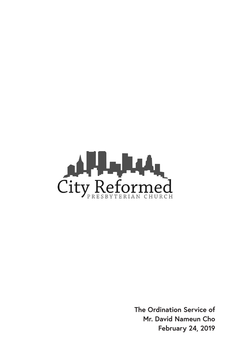

**The Ordination Service of Mr. David Nameun Cho February 24, 2019**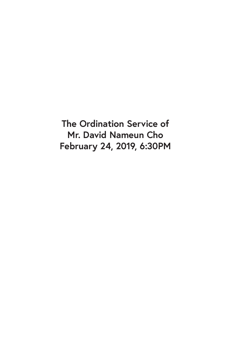**The Ordination Service of Mr. David Nameun Cho February 24, 2019, 6:30PM**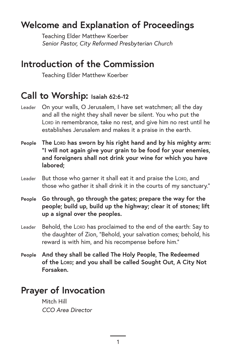### **Welcome and Explanation of Proceedings**

Teaching Elder Matthew Koerber *Senior Pastor, City Reformed Presbyterian Church*

### **Introduction of the Commission**

Teaching Elder Matthew Koerber

#### **Call to Worship: Isaiah 62:6-12**

- Leader On your walls, O Jerusalem, I have set watchmen; all the day and all the night they shall never be silent. You who put the LORD in remembrance, take no rest, and give him no rest until he establishes Jerusalem and makes it a praise in the earth.
- People The LORD has sworn by his right hand and by his mighty arm: **"I will not again give your grain to be food for your enemies, and foreigners shall not drink your wine for which you have labored;**
- Leader But those who garner it shall eat it and praise the LORD, and those who gather it shall drink it in the courts of my sanctuary."
- **People Go through, go through the gates; prepare the way for the people; build up, build up the highway; clear it of stones; lift up a signal over the peoples.**
- Leader Behold, the LORD has proclaimed to the end of the earth: Say to the daughter of Zion, "Behold, your salvation comes; behold, his reward is with him, and his recompense before him."
- **People And they shall be called The Holy People, The Redeemed of the Lord; and you shall be called Sought Out, A City Not Forsaken.**

### **Prayer of Invocation**

Mitch Hill *CCO Area Director*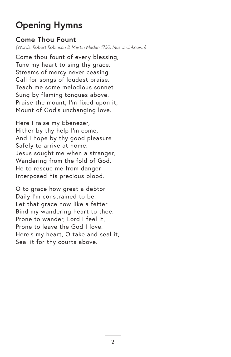# **Opening Hymns**

#### **Come Thou Fount**

*(Words: Robert Robinson & Martin Madan 1760; Music: Unknown)*

Come thou fount of every blessing, Tune my heart to sing thy grace. Streams of mercy never ceasing Call for songs of loudest praise. Teach me some melodious sonnet Sung by flaming tongues above. Praise the mount, I'm fixed upon it, Mount of God's unchanging love.

Here I raise my Ebenezer, Hither by thy help I'm come, And I hope by thy good pleasure Safely to arrive at home. Jesus sought me when a stranger, Wandering from the fold of God. He to rescue me from danger Interposed his precious blood.

O to grace how great a debtor Daily I'm constrained to be. Let that grace now like a fetter Bind my wandering heart to thee. Prone to wander, Lord I feel it, Prone to leave the God I love. Here's my heart, O take and seal it, Seal it for thy courts above.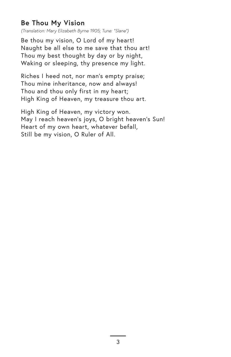#### **Be Thou My Vision**

*(Translation: Mary Elizabeth Byrne 1905; Tune: "Slane")*

Be thou my vision, O Lord of my heart! Naught be all else to me save that thou art! Thou my best thought by day or by night, Waking or sleeping, thy presence my light.

Riches I heed not, nor man's empty praise; Thou mine inheritance, now and always! Thou and thou only first in my heart; High King of Heaven, my treasure thou art.

High King of Heaven, my victory won. May I reach heaven's joys, O bright heaven's Sun! Heart of my own heart, whatever befall, Still be my vision, O Ruler of All.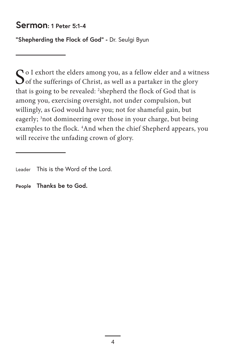#### **Sermon: 1 Peter 5:1-4**

**"Shepherding the Flock of God" -** Dr. Seulgi Byun

So I exhort the elders among you, as a fellow elder and a witness<br>Sof the sufferings of Christ, as well as a partaker in the glory that is going to be revealed: <sup>2</sup>shepherd the flock of God that is among you, exercising oversight, not under compulsion, but willingly, as God would have you; not for shameful gain, but eagerly; <sup>3</sup>not domineering over those in your charge, but being examples to the flock. 4 And when the chief Shepherd appears, you will receive the unfading crown of glory.

**People Thanks be to God.**

Leader This is the Word of the Lord.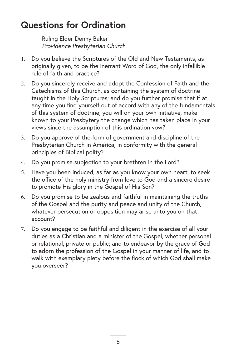### **Questions for Ordination**

Ruling Elder Denny Baker *Providence Presbyterian Church*

- 1. Do you believe the Scriptures of the Old and New Testaments, as originally given, to be the inerrant Word of God, the only infallible rule of faith and practice?
- 2. Do you sincerely receive and adopt the Confession of Faith and the Catechisms of this Church, as containing the system of doctrine taught in the Holy Scriptures; and do you further promise that if at any time you find yourself out of accord with any of the fundamentals of this system of doctrine, you will on your own initiative, make known to your Presbytery the change which has taken place in your views since the assumption of this ordination vow?
- 3. Do you approve of the form of government and discipline of the Presbyterian Church in America, in conformity with the general principles of Biblical polity?
- 4. Do you promise subjection to your brethren in the Lord?
- 5. Have you been induced, as far as you know your own heart, to seek the office of the holy ministry from love to God and a sincere desire to promote His glory in the Gospel of His Son?
- 6. Do you promise to be zealous and faithful in maintaining the truths of the Gospel and the purity and peace and unity of the Church, whatever persecution or opposition may arise unto you on that account?
- 7. Do you engage to be faithful and diligent in the exercise of all your duties as a Christian and a minister of the Gospel, whether personal or relational, private or public; and to endeavor by the grace of God to adorn the profession of the Gospel in your manner of life, and to walk with exemplary piety before the flock of which God shall make you overseer?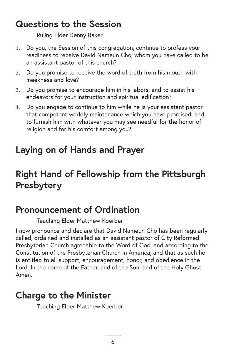### **Questions to the Session**

Ruling Elder Denny Baker

- 1. Do you, the Session of this congregation, continue to profess your readiness to receive David Nameun Cho, whom you have called to be an assistant pastor of this church?
- 2. Do you promise to receive the word of truth from his mouth with meekness and love?
- 3. Do you promise to encourage him in his labors, and to assist his endeavors for your instruction and spiritual edification?
- 4. Do you engage to continue to him while he is your assistant pastor that competent worldly maintenance which you have promised, and to furnish him with whatever you may see needful for the honor of religion and for his comfort among you?

# **Laying on of Hands and Prayer**

# **Right Hand of Fellowship from the Pittsburgh Presbytery**

# **Pronouncement of Ordination**

Teaching Elder Matthew Koerber

I now pronounce and declare that David Nameun Cho has been regularly called, ordained and installed as an assistant pastor of City Reformed Presbyterian Church agreeable to the Word of God, and according to the Constitution of the Presbyterian Church in America; and that as such he is entitled to all support, encouragement, honor, and obedience in the Lord: In the name of the Father, and of the Son, and of the Holy Ghost. Amen.

# **Charge to the Minister**

Teaching Elder Matthew Koerber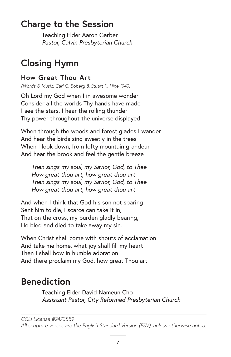### **Charge to the Session**

Teaching Elder Aaron Garber *Pastor, Calvin Presbyterian Church* 

# **Closing Hymn**

#### **How Great Thou Art**

*(Words & Music: Carl G. Boberg & Stuart K. Hine 1949)*

Oh Lord my God when I in awesome wonder Consider all the worlds Thy hands have made I see the stars, I hear the rolling thunder Thy power throughout the universe displayed

When through the woods and forest glades I wander And hear the birds sing sweetly in the trees When I look down, from lofty mountain grandeur And hear the brook and feel the gentle breeze

*Then sings my soul, my Savior, God, to Thee How great thou art, how great thou art Then sings my soul, my Savior, God, to Thee How great thou art, how great thou art*

And when I think that God his son not sparing Sent him to die, I scarce can take it in, That on the cross, my burden gladly bearing, He bled and died to take away my sin.

When Christ shall come with shouts of acclamation And take me home, what joy shall fill my heart Then I shall bow in humble adoration And there proclaim my God, how great Thou art

# **Benediction**

Teaching Elder David Nameun Cho *Assistant Pastor, City Reformed Presbyterian Church*

*CCLI License #2473859 All scripture verses are the English Standard Version (ESV), unless otherwise noted.*